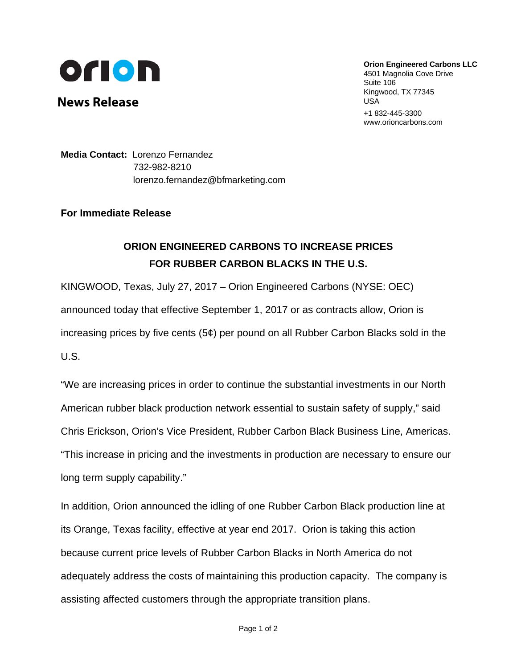

**News Release**

**Orion Engineered Carbons LLC** 4501 Magnolia Cove Drive

Suite 106 Kingwood, TX 77345 USA +1 832-445-3300 www.orioncarbons.com

**Media Contact:** Lorenzo Fernandez 732-982-8210 [lorenzo.fernandez@bfmarketing.com](mailto:lorenzo.fernandez@briechle-fernandez.com)

**For Immediate Release**

## **ORION ENGINEERED CARBONS TO INCREASE PRICES FOR RUBBER CARBON BLACKS IN THE U.S.**

KINGWOOD, Texas, July 27, 2017 – Orion Engineered Carbons (NYSE: OEC) announced today that effective September 1, 2017 or as contracts allow, Orion is increasing prices by five cents (5¢) per pound on all Rubber Carbon Blacks sold in the U.S.

"We are increasing prices in order to continue the substantial investments in our North American rubber black production network essential to sustain safety of supply," said Chris Erickson, Orion's Vice President, Rubber Carbon Black Business Line, Americas. "This increase in pricing and the investments in production are necessary to ensure our long term supply capability."

In addition, Orion announced the idling of one Rubber Carbon Black production line at its Orange, Texas facility, effective at year end 2017. Orion is taking this action because current price levels of Rubber Carbon Blacks in North America do not adequately address the costs of maintaining this production capacity. The company is assisting affected customers through the appropriate transition plans.